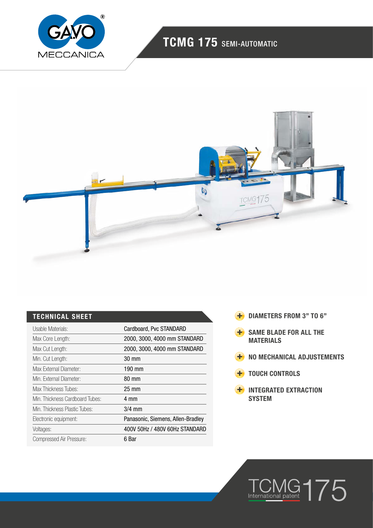

## TCMG 175 SEMI-AUTOMATIC



### TECHNICAL SHEET

| Usable Materials:               | Cardboard, Pvc STANDARD           |
|---------------------------------|-----------------------------------|
| Max Core Length:                | 2000, 3000, 4000 mm STANDARD      |
| Max Cut Length:                 | 2000, 3000, 4000 mm STANDARD      |
| Min. Cut Length:                | 30 mm                             |
| Max External Diameter:          | 190 mm                            |
| Min. External Diameter:         | 80 mm                             |
| Max Thickness Tubes:            | $25 \text{ mm}$                   |
| Min. Thickness Cardboard Tubes: | 4 mm                              |
| Min. Thickness Plastic Tubes:   | $3/4$ mm                          |
| Electronic equipment:           | Panasonic, Siemens, Allen-Bradley |
| Voltages:                       | 400V 50Hz / 480V 60Hz STANDARD    |
| Compressed Air Pressure:        | 6 Bar                             |

- **+** DIAMETERS FROM 3" TO 6"
- **H** SAME BLADE FOR ALL THE MATERIALS
- **H** NO MECHANICAL ADJUSTEMENTS
- **+** TOUCH CONTROLS
- **H** INTEGRATED EXTRACTION **SYSTEM**